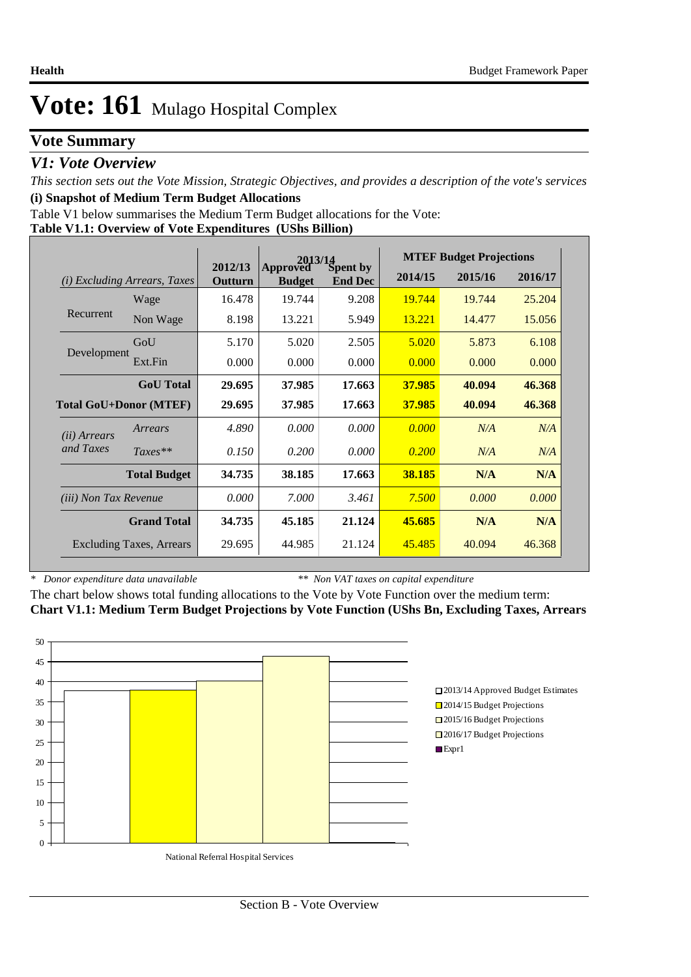### **Vote Summary**

### *V1: Vote Overview*

*This section sets out the Vote Mission, Strategic Objectives, and provides a description of the vote's services* **(i) Snapshot of Medium Term Budget Allocations** 

Table V1 below summarises the Medium Term Budget allocations for the Vote:

#### **Table V1.1: Overview of Vote Expenditures (UShs Billion)**

|                               |                                 |                    | $2013/14$<br>Approved Spent by |                |         | <b>MTEF Budget Projections</b> |         |
|-------------------------------|---------------------------------|--------------------|--------------------------------|----------------|---------|--------------------------------|---------|
| (i)                           | <i>Excluding Arrears, Taxes</i> | 2012/13<br>Outturn | <b>Budget</b>                  | <b>End Dec</b> | 2014/15 | 2015/16                        | 2016/17 |
|                               | Wage                            | 16.478             | 19.744                         | 9.208          | 19.744  | 19.744                         | 25.204  |
| Recurrent                     | Non Wage                        | 8.198              | 13.221                         | 5.949          | 13.221  | 14.477                         | 15.056  |
|                               | GoU                             | 5.170              | 5.020                          | 2.505          | 5.020   | 5.873                          | 6.108   |
| Development                   | Ext.Fin                         | 0.000              | 0.000                          | 0.000          | 0.000   | 0.000                          | 0.000   |
|                               | <b>GoU</b> Total                | 29.695             | 37.985                         | 17.663         | 37.985  | 40.094                         | 46.368  |
| <b>Total GoU+Donor (MTEF)</b> |                                 | 29.695             | 37.985                         | 17.663         | 37.985  | 40.094                         | 46.368  |
| ( <i>ii</i> ) Arrears         | Arrears                         | 4.890              | 0.000                          | 0.000          | 0.000   | N/A                            | N/A     |
| and Taxes                     | $Taxes**$                       | 0.150              | 0.200                          | 0.000          | 0.200   | N/A                            | N/A     |
|                               | <b>Total Budget</b>             | 34.735             | 38.185                         | 17.663         | 38.185  | N/A                            | N/A     |
|                               | <i>(iii)</i> Non Tax Revenue    |                    | 7.000                          | 3.461          | 7.500   | 0.000                          | 0.000   |
|                               | <b>Grand Total</b>              | 34.735             | 45.185                         | 21.124         | 45.685  | N/A                            | N/A     |
|                               | <b>Excluding Taxes, Arrears</b> | 29.695             | 44.985                         | 21.124         | 45.485  | 40.094                         | 46.368  |

*\* Donor expenditure data unavailable*

*\*\* Non VAT taxes on capital expenditure*

The chart below shows total funding allocations to the Vote by Vote Function over the medium term: **Chart V1.1: Medium Term Budget Projections by Vote Function (UShs Bn, Excluding Taxes, Arrears**

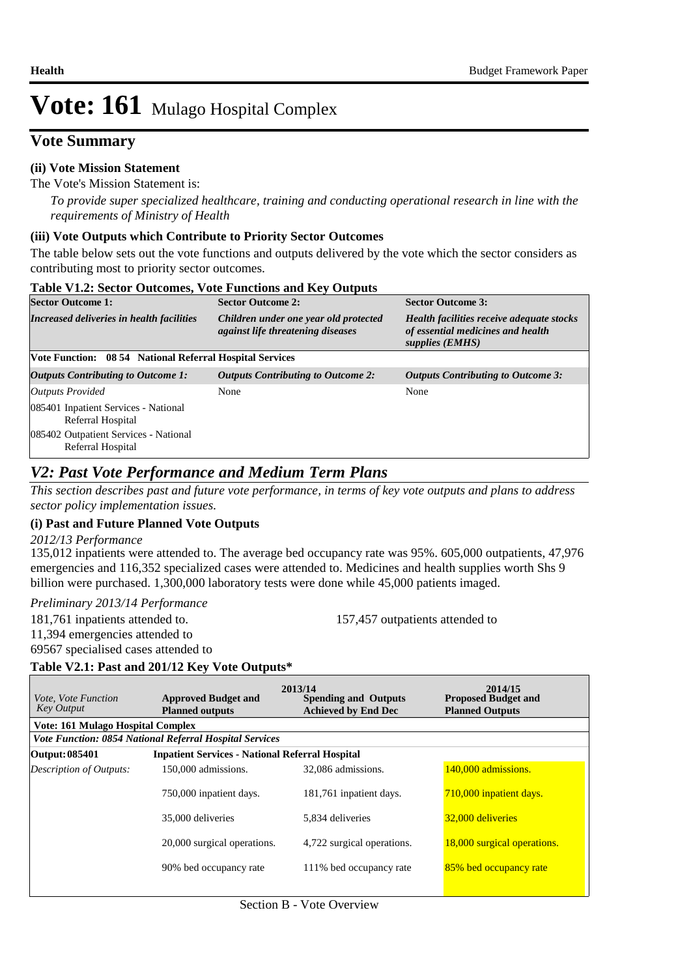### **Vote Summary**

#### **(ii) Vote Mission Statement**

The Vote's Mission Statement is:

*To provide super specialized healthcare, training and conducting operational research in line with the requirements of Ministry of Health*

#### **(iii) Vote Outputs which Contribute to Priority Sector Outcomes**

The table below sets out the vote functions and outputs delivered by the vote which the sector considers as contributing most to priority sector outcomes.

| <b>Table V1.2: Sector Outcomes, Vote Functions and Key Outputs</b>                                                      |                                                                            |                                                                                                   |  |  |  |  |  |  |
|-------------------------------------------------------------------------------------------------------------------------|----------------------------------------------------------------------------|---------------------------------------------------------------------------------------------------|--|--|--|--|--|--|
| <b>Sector Outcome 1:</b>                                                                                                | <b>Sector Outcome 2:</b>                                                   | <b>Sector Outcome 3:</b>                                                                          |  |  |  |  |  |  |
| Increased deliveries in health facilities                                                                               | Children under one year old protected<br>against life threatening diseases | Health facilities receive adequate stocks<br>of essential medicines and health<br>supplies (EMHS) |  |  |  |  |  |  |
| Vote Function: 08 54 National Referral Hospital Services                                                                |                                                                            |                                                                                                   |  |  |  |  |  |  |
| <b>Outputs Contributing to Outcome 1:</b>                                                                               | <b>Outputs Contributing to Outcome 2:</b>                                  | <b>Outputs Contributing to Outcome 3:</b>                                                         |  |  |  |  |  |  |
| Outputs Provided                                                                                                        | None                                                                       | None                                                                                              |  |  |  |  |  |  |
| 085401 Inpatient Services - National<br>Referral Hospital<br>085402 Outpatient Services - National<br>Referral Hospital |                                                                            |                                                                                                   |  |  |  |  |  |  |
|                                                                                                                         |                                                                            |                                                                                                   |  |  |  |  |  |  |

### *V2: Past Vote Performance and Medium Term Plans*

*This section describes past and future vote performance, in terms of key vote outputs and plans to address sector policy implementation issues.* 

#### **(i) Past and Future Planned Vote Outputs**

*2012/13 Performance*

135,012 inpatients were attended to. The average bed occupancy rate was 95%. 605,000 outpatients, 47,976 emergencies and 116,352 specialized cases were attended to. Medicines and health supplies worth Shs 9 billion were purchased. 1,300,000 laboratory tests were done while 45,000 patients imaged.

*Preliminary 2013/14 Performance*

181,761 inpatients attended to. 157,457 outpatients attended to

11,394 emergencies attended to

69567 specialised cases attended to

### **Table V2.1: Past and 201/12 Key Vote Outputs\***

| <i>Vote, Vote Function</i><br><b>Key Output</b> | <b>Approved Budget and</b><br><b>Planned outputs</b>           | 2013/14<br><b>Spending and Outputs</b><br><b>Achieved by End Dec</b> | 2014/15<br><b>Proposed Budget and</b><br><b>Planned Outputs</b> |
|-------------------------------------------------|----------------------------------------------------------------|----------------------------------------------------------------------|-----------------------------------------------------------------|
| <b>Vote: 161 Mulago Hospital Complex</b>        |                                                                |                                                                      |                                                                 |
|                                                 | <b>Vote Function: 0854 National Referral Hospital Services</b> |                                                                      |                                                                 |
| Output: 085401                                  | <b>Inpatient Services - National Referral Hospital</b>         |                                                                      |                                                                 |
| <b>Description of Outputs:</b>                  | 150,000 admissions.                                            | 32,086 admissions.                                                   | 140,000 admissions.                                             |
|                                                 | 750,000 inpatient days.                                        | 181,761 inpatient days.                                              | 710,000 inpatient days.                                         |
|                                                 | 35,000 deliveries                                              | 5.834 deliveries                                                     | 32,000 deliveries                                               |
|                                                 | 20,000 surgical operations.                                    | 4,722 surgical operations.                                           | 18,000 surgical operations.                                     |
|                                                 | 90% bed occupancy rate                                         | 111% bed occupancy rate                                              | 85% bed occupancy rate                                          |
|                                                 |                                                                |                                                                      |                                                                 |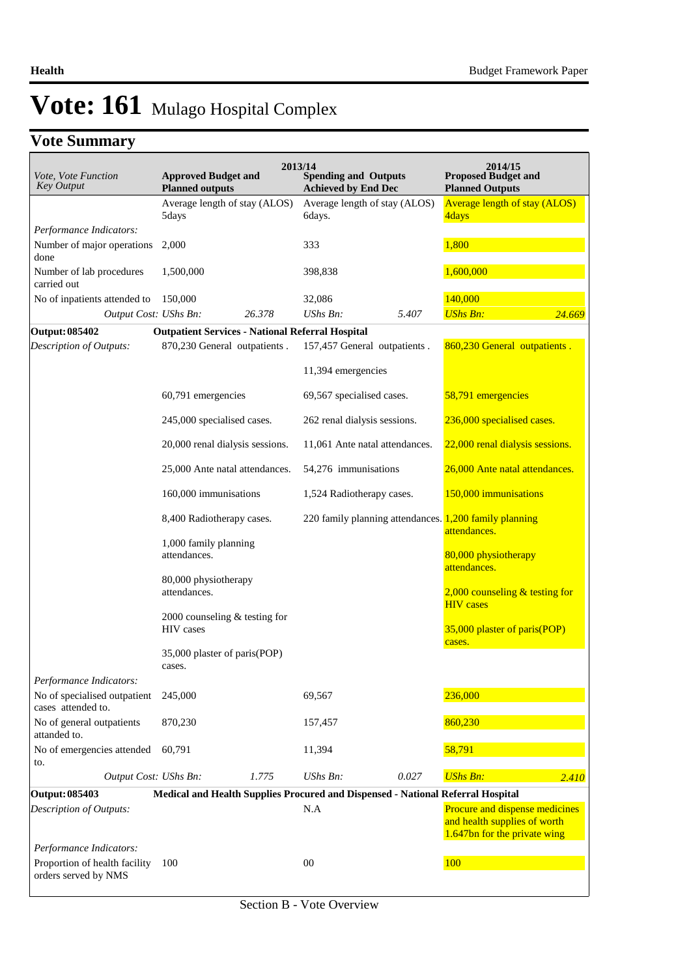# **Vote Summary**

| Vote, Vote Function<br><b>Key Output</b>                 | <b>Approved Budget and</b><br><b>Planned outputs</b>    | 2013/14<br><b>Spending and Outputs</b><br><b>Achieved by End Dec</b>            | 2014/15<br><b>Proposed Budget and</b><br><b>Planned Outputs</b>                                |
|----------------------------------------------------------|---------------------------------------------------------|---------------------------------------------------------------------------------|------------------------------------------------------------------------------------------------|
|                                                          | Average length of stay (ALOS)<br>5days                  | Average length of stay (ALOS)<br>6days.                                         | <b>Average length of stay (ALOS)</b><br>4days                                                  |
| Performance Indicators:                                  |                                                         |                                                                                 |                                                                                                |
| Number of major operations<br>done                       | 2,000                                                   | 333                                                                             | 1,800                                                                                          |
| Number of lab procedures<br>carried out                  | 1,500,000                                               | 398,838                                                                         | 1,600,000                                                                                      |
| No of inpatients attended to                             | 150,000                                                 | 32,086                                                                          | 140,000                                                                                        |
| Output Cost: UShs Bn:                                    | 26.378                                                  | UShs Bn:<br>5.407                                                               | <b>UShs Bn:</b><br>24.669                                                                      |
| Output: 085402                                           | <b>Outpatient Services - National Referral Hospital</b> |                                                                                 |                                                                                                |
| Description of Outputs:                                  | 870,230 General outpatients.                            | 157,457 General outpatients.                                                    | 860,230 General outpatients.                                                                   |
|                                                          |                                                         | 11,394 emergencies                                                              |                                                                                                |
|                                                          | 60,791 emergencies                                      | 69,567 specialised cases.                                                       | 58,791 emergencies                                                                             |
|                                                          | 245,000 specialised cases.                              | 262 renal dialysis sessions.                                                    | 236,000 specialised cases.                                                                     |
|                                                          | 20,000 renal dialysis sessions.                         | 11,061 Ante natal attendances.                                                  | 22,000 renal dialysis sessions.                                                                |
|                                                          | 25,000 Ante natal attendances.                          | 54,276 immunisations                                                            | 26,000 Ante natal attendances.                                                                 |
|                                                          | 160,000 immunisations                                   | 1,524 Radiotherapy cases.                                                       | 150,000 immunisations                                                                          |
|                                                          | 8,400 Radiotherapy cases.                               | 220 family planning attendances. 1,200 family planning                          | attendances.                                                                                   |
|                                                          | 1,000 family planning<br>attendances.                   |                                                                                 | 80,000 physiotherapy<br>attendances.                                                           |
|                                                          | 80,000 physiotherapy<br>attendances.                    |                                                                                 | $2,000$ counseling & testing for<br><b>HIV</b> cases                                           |
|                                                          | 2000 counseling $&$ testing for<br>HIV cases            |                                                                                 | 35,000 plaster of paris(POP)                                                                   |
|                                                          | 35,000 plaster of paris(POP)<br>cases.                  |                                                                                 | cases.                                                                                         |
| Performance Indicators:                                  |                                                         |                                                                                 |                                                                                                |
| No of specialised outpatient<br>cases attended to.       | 245,000                                                 | 69,567                                                                          | 236,000                                                                                        |
| No of general outpatients<br>attanded to.                | 870,230                                                 | 157,457                                                                         | 860,230                                                                                        |
| No of emergencies attended<br>to.                        | 60,791                                                  | 11,394                                                                          | 58,791                                                                                         |
| Output Cost: UShs Bn:                                    | 1.775                                                   | UShs Bn:<br>0.027                                                               | <b>UShs Bn:</b><br>2.410                                                                       |
| Output: 085403                                           |                                                         | Medical and Health Supplies Procured and Dispensed - National Referral Hospital |                                                                                                |
| <b>Description of Outputs:</b>                           |                                                         | N.A                                                                             | Procure and dispense medicines<br>and health supplies of worth<br>1.647bn for the private wing |
| Performance Indicators:<br>Proportion of health facility | 100                                                     | 00                                                                              | 100                                                                                            |
| orders served by NMS                                     |                                                         |                                                                                 |                                                                                                |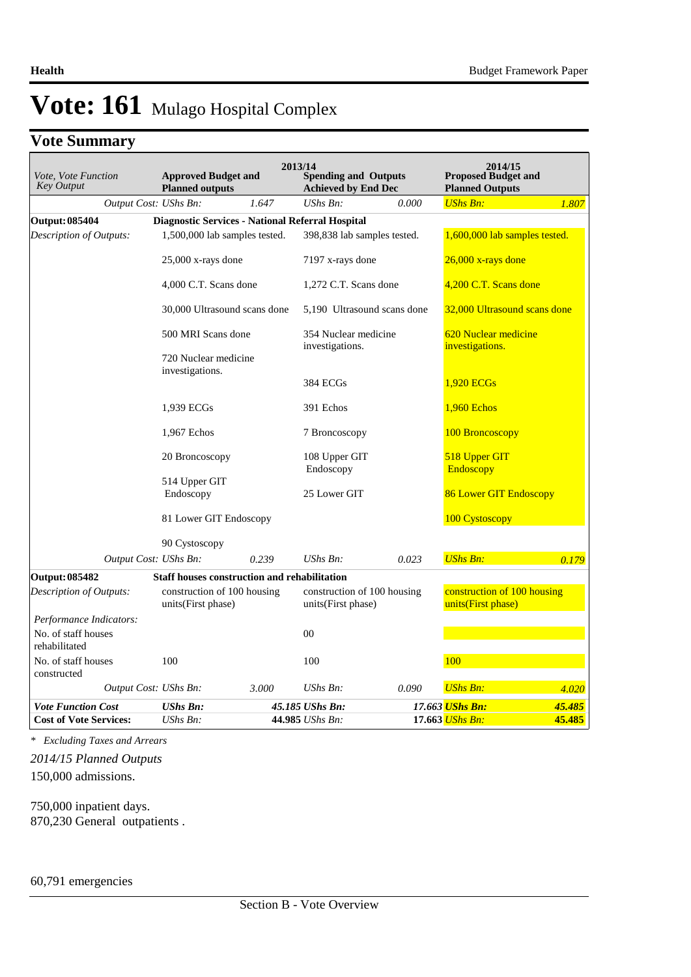# **Vote Summary**

| Vote, Vote Function<br>Key Output    | <b>Approved Budget and</b><br><b>Planned outputs</b> | 2013/14 | <b>Spending and Outputs</b><br><b>Achieved by End Dec</b> |       | 2014/15<br><b>Proposed Budget and</b><br><b>Planned Outputs</b> |        |
|--------------------------------------|------------------------------------------------------|---------|-----------------------------------------------------------|-------|-----------------------------------------------------------------|--------|
| Output Cost: UShs Bn:                |                                                      | 1.647   | $UShs Bn$ :                                               | 0.000 | <b>UShs Bn:</b>                                                 | 1.807  |
| <b>Output: 085404</b>                | Diagnostic Services - National Referral Hospital     |         |                                                           |       |                                                                 |        |
| Description of Outputs:              | 1,500,000 lab samples tested.                        |         | 398,838 lab samples tested.                               |       | 1,600,000 lab samples tested.                                   |        |
|                                      | $25,000$ x-rays done                                 |         | 7197 x-rays done                                          |       | $26,000$ x-rays done                                            |        |
|                                      | 4,000 C.T. Scans done                                |         | 1,272 C.T. Scans done                                     |       | 4,200 C.T. Scans done                                           |        |
|                                      | 30,000 Ultrasound scans done                         |         | 5,190 Ultrasound scans done                               |       | 32,000 Ultrasound scans done                                    |        |
|                                      | 500 MRI Scans done                                   |         | 354 Nuclear medicine<br>investigations.                   |       | 620 Nuclear medicine<br>investigations.                         |        |
|                                      | 720 Nuclear medicine<br>investigations.              |         |                                                           |       |                                                                 |        |
|                                      |                                                      |         | 384 ECGs                                                  |       | 1,920 ECGs                                                      |        |
|                                      | 1,939 ECGs                                           |         | 391 Echos                                                 |       | 1,960 Echos                                                     |        |
|                                      | 1,967 Echos                                          |         | 7 Broncoscopy                                             |       | 100 Broncoscopy                                                 |        |
|                                      | 20 Broncoscopy                                       |         | 108 Upper GIT<br>Endoscopy                                |       | 518 Upper GIT<br>Endoscopy                                      |        |
|                                      | 514 Upper GIT                                        |         |                                                           |       |                                                                 |        |
|                                      | Endoscopy                                            |         | 25 Lower GIT                                              |       | <b>86 Lower GIT Endoscopy</b>                                   |        |
|                                      | 81 Lower GIT Endoscopy                               |         |                                                           |       | 100 Cystoscopy                                                  |        |
|                                      | 90 Cystoscopy                                        |         |                                                           |       |                                                                 |        |
| Output Cost: UShs Bn:                |                                                      | 0.239   | $UShs Bn$ :                                               | 0.023 | <b>UShs Bn:</b>                                                 | 0.179  |
| Output: 085482                       | Staff houses construction and rehabilitation         |         |                                                           |       |                                                                 |        |
| Description of Outputs:              | construction of 100 housing<br>units(First phase)    |         | construction of 100 housing<br>units(First phase)         |       | construction of 100 housing<br>units(First phase)               |        |
| Performance Indicators:              |                                                      |         |                                                           |       |                                                                 |        |
| No. of staff houses<br>rehabilitated |                                                      |         | 00                                                        |       |                                                                 |        |
| No. of staff houses<br>constructed   | 100                                                  |         | 100                                                       |       | 100                                                             |        |
| Output Cost: UShs Bn:                |                                                      | 3.000   | $UShs Bn$ :                                               | 0.090 | <b>UShs Bn:</b>                                                 | 4.020  |
| <b>Vote Function Cost</b>            | <b>UShs Bn:</b>                                      |         | 45.185 UShs Bn:                                           |       | 17.663 <mark>UShs Bn:</mark>                                    | 45.485 |
| <b>Cost of Vote Services:</b>        | $UShs Bn$ :                                          |         | 44.985 UShs Bn:                                           |       | 17.663 UShs Bn:                                                 | 45.485 |

*\* Excluding Taxes and Arrears*

150,000 admissions. *2014/15 Planned Outputs*

750,000 inpatient days. 870,230 General outpatients .

60,791 emergencies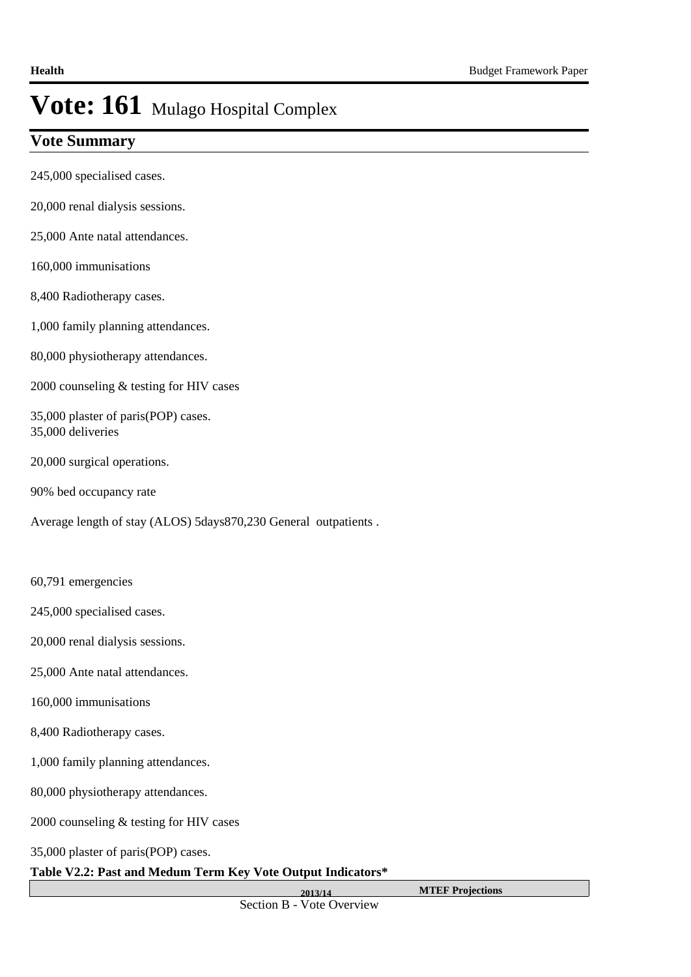### **Vote Summary**

- 245,000 specialised cases.
- 20,000 renal dialysis sessions.
- 25,000 Ante natal attendances.
- 160,000 immunisations
- 8,400 Radiotherapy cases.
- 1,000 family planning attendances.
- 80,000 physiotherapy attendances.
- 2000 counseling & testing for HIV cases
- 35,000 plaster of paris(POP) cases. 35,000 deliveries
- 20,000 surgical operations.
- 90% bed occupancy rate
- Average length of stay (ALOS) 5days870,230 General outpatients .
- 60,791 emergencies
- 245,000 specialised cases.
- 20,000 renal dialysis sessions.
- 25,000 Ante natal attendances.
- 160,000 immunisations
- 8,400 Radiotherapy cases.
- 1,000 family planning attendances.
- 80,000 physiotherapy attendances.
- 2000 counseling & testing for HIV cases
- 35,000 plaster of paris(POP) cases.

*Vote Function Key Output* 

#### **Table V2.2: Past and Medum Term Key Vote Output Indicators\***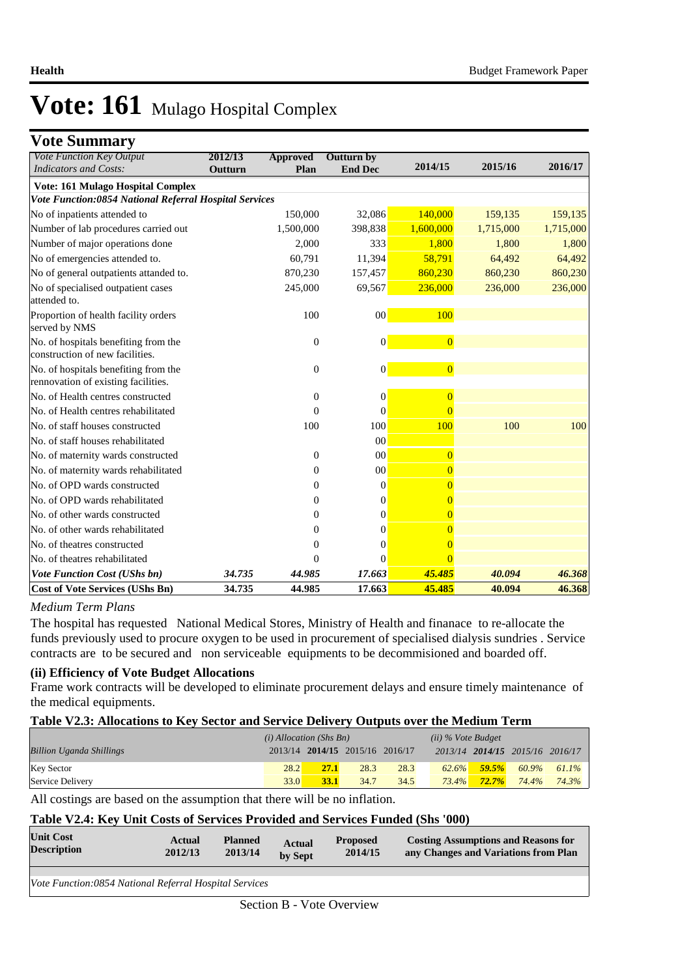### **Vote Summary**

| v ole duniniai y<br>Vote Function Key Output                                | 2012/13 | <b>Approved</b>  | <b>Outturn by</b> |                |           |           |
|-----------------------------------------------------------------------------|---------|------------------|-------------------|----------------|-----------|-----------|
| <b>Indicators and Costs:</b>                                                | Outturn | Plan             | <b>End Dec</b>    | 2014/15        | 2015/16   | 2016/17   |
| Vote: 161 Mulago Hospital Complex                                           |         |                  |                   |                |           |           |
| Vote Function:0854 National Referral Hospital Services                      |         |                  |                   |                |           |           |
| No of inpatients attended to                                                |         | 150,000          | 32,086            | 140,000        | 159,135   | 159,135   |
| Number of lab procedures carried out                                        |         | 1,500,000        | 398,838           | 1,600,000      | 1,715,000 | 1,715,000 |
| Number of major operations done                                             |         | 2,000            | 333               | 1,800          | 1,800     | 1,800     |
| No of emergencies attended to.                                              |         | 60,791           | 11,394            | 58,791         | 64,492    | 64,492    |
| No of general outpatients attanded to.                                      |         | 870,230          | 157,457           | 860,230        | 860,230   | 860,230   |
| No of specialised outpatient cases<br>attended to.                          |         | 245,000          | 69,567            | 236,000        | 236,000   | 236,000   |
| Proportion of health facility orders<br>served by NMS                       |         | 100              | 00                | 100            |           |           |
| No. of hospitals benefiting from the<br>construction of new facilities.     |         | $\mathbf{0}$     | $\mathbf{0}$      | $\overline{0}$ |           |           |
| No. of hospitals benefiting from the<br>rennovation of existing facilities. |         | $\mathbf{0}$     | $\boldsymbol{0}$  | $\overline{0}$ |           |           |
| No. of Health centres constructed                                           |         | $\boldsymbol{0}$ | $\mathbf{0}$      | $\overline{0}$ |           |           |
| No. of Health centres rehabilitated                                         |         | $\overline{0}$   | $\Omega$          | $\overline{0}$ |           |           |
| No. of staff houses constructed                                             |         | 100              | 100               | 100            | 100       | 100       |
| No. of staff houses rehabilitated                                           |         |                  | 00                |                |           |           |
| No. of maternity wards constructed                                          |         | $\mathbf{0}$     | 00                | $\overline{0}$ |           |           |
| No. of maternity wards rehabilitated                                        |         | $\overline{0}$   | 00                | $\overline{0}$ |           |           |
| No. of OPD wards constructed                                                |         | $\overline{0}$   | $\mathbf{0}$      | $\overline{0}$ |           |           |
| No. of OPD wards rehabilitated                                              |         | $\theta$         | $\mathbf{0}$      | $\overline{0}$ |           |           |
| No. of other wards constructed                                              |         | $\Omega$         | $\Omega$          | $\overline{0}$ |           |           |
| No. of other wards rehabilitated                                            |         | $\theta$         | $\Omega$          | $\overline{0}$ |           |           |
| No. of theatres constructed                                                 |         | $\overline{0}$   | $\Omega$          | $\overline{0}$ |           |           |
| No. of theatres rehabilitated                                               |         | $\Omega$         | $\Omega$          | $\Omega$       |           |           |
| Vote Function Cost (UShs bn)                                                | 34.735  | 44.985           | 17.663            | 45.485         | 40.094    | 46.368    |
| <b>Cost of Vote Services (UShs Bn)</b>                                      | 34.735  | 44.985           | 17.663            | 45.485         | 40.094    | 46.368    |

#### *Medium Term Plans*

The hospital has requested National Medical Stores, Ministry of Health and finanace to re-allocate the funds previously used to procure oxygen to be used in procurement of specialised dialysis sundries . Service contracts are to be secured and non serviceable equipments to be decommisioned and boarded off.

#### **(ii) Efficiency of Vote Budget Allocations**

Frame work contracts will be developed to eliminate procurement delays and ensure timely maintenance of the medical equipments.

#### **Table V2.3: Allocations to Key Sector and Service Delivery Outputs over the Medium Term**

|                                 | $(i)$ Allocation (Shs Bn) |                                 |      |      | $(ii)$ % Vote Budget |          |                                 |       |
|---------------------------------|---------------------------|---------------------------------|------|------|----------------------|----------|---------------------------------|-------|
| <b>Billion Uganda Shillings</b> |                           | 2013/14 2014/15 2015/16 2016/17 |      |      |                      |          | 2013/14 2014/15 2015/16 2016/17 |       |
| <b>Key Sector</b>               | <b>28.2</b>               | 27.1                            | 28.3 | 28.3 | 62.6%                | 59.5%    | 60.9%                           | 61.1% |
| Service Delivery                | 33.0                      | 33.1                            | 34.7 | 34.5 | $73.4\%$             | $72.7\%$ | 74.4%                           | 74.3% |

All costings are based on the assumption that there will be no inflation.

#### **Table V2.4: Key Unit Costs of Services Provided and Services Funded (Shs '000)**

| <b>Unit Cost</b><br><b>Description</b>                 | Actual<br>2012/13 | <b>Planned</b><br>2013/14 | <b>Actual</b><br>by Sept | <b>Proposed</b><br>2014/15 | <b>Costing Assumptions and Reasons for</b><br>any Changes and Variations from Plan |  |  |  |
|--------------------------------------------------------|-------------------|---------------------------|--------------------------|----------------------------|------------------------------------------------------------------------------------|--|--|--|
|                                                        |                   |                           |                          |                            |                                                                                    |  |  |  |
| Vote Function:0854 National Referral Hospital Services |                   |                           |                          |                            |                                                                                    |  |  |  |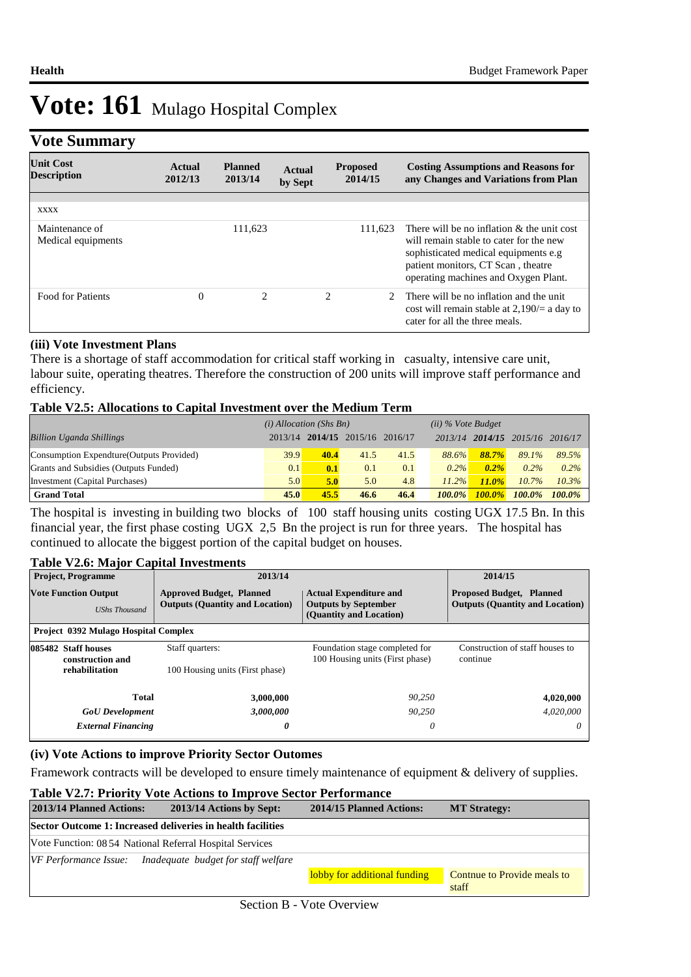### **Vote Summary**

| $\overline{\phantom{a}}$               |                   |                           |                   |                            |                                                                                                                                                                                                                 |
|----------------------------------------|-------------------|---------------------------|-------------------|----------------------------|-----------------------------------------------------------------------------------------------------------------------------------------------------------------------------------------------------------------|
| <b>Unit Cost</b><br><b>Description</b> | Actual<br>2012/13 | <b>Planned</b><br>2013/14 | Actual<br>by Sept | <b>Proposed</b><br>2014/15 | <b>Costing Assumptions and Reasons for</b><br>any Changes and Variations from Plan                                                                                                                              |
|                                        |                   |                           |                   |                            |                                                                                                                                                                                                                 |
| <b>XXXX</b>                            |                   |                           |                   |                            |                                                                                                                                                                                                                 |
| Maintenance of<br>Medical equipments   |                   | 111,623                   |                   | 111.623                    | There will be no inflation $\&$ the unit cost<br>will remain stable to cater for the new<br>sophisticated medical equipments e.g.<br>patient monitors, CT Scan, theatre<br>operating machines and Oxygen Plant. |
| <b>Food for Patients</b>               | $\theta$          | $\overline{c}$            |                   | 2                          | There will be no inflation and the unit<br>cost will remain stable at $2,190/=$ a day to<br>cater for all the three meals.                                                                                      |

#### **(iii) Vote Investment Plans**

There is a shortage of staff accommodation for critical staff working in casualty, intensive care unit, labour suite, operating theatres. Therefore the construction of 200 units will improve staff performance and efficiency.

#### **Table V2.5: Allocations to Capital Investment over the Medium Term**

|                                           | $(i)$ Allocation (Shs Bn) |      |                         |      | $(ii)$ % Vote Budget |           |           |           |
|-------------------------------------------|---------------------------|------|-------------------------|------|----------------------|-----------|-----------|-----------|
| <b>Billion Uganda Shillings</b>           | 2013/14                   |      | 2014/15 2015/16 2016/17 |      | 2013/14              | 2014/15   | 2015/16   | 2016/17   |
| Consumption Expendture (Outputs Provided) | 39.9                      | 40.4 | 41.5                    | 41.5 | 88.6%                | 88.7%     | 89.1%     | 89.5%     |
| Grants and Subsidies (Outputs Funded)     | 0.1                       | 0.1  | 0.1                     | 0.1  | $0.2\%$              | $0.2\%$   | $0.2\%$   | $0.2\%$   |
| Investment (Capital Purchases)            | 5.0                       | 5.0  | 5.0                     | 4.8  | 11.2%                | $11.0\%$  | $10.7\%$  | 10.3%     |
| <b>Grand Total</b>                        | 45.0                      | 45.5 | 46.6                    | 46.4 | $100.0\%$            | $100.0\%$ | $100.0\%$ | $100.0\%$ |

The hospital is investing in building two blocks of 100 staff housing units costing UGX 17.5 Bn. In this financial year, the first phase costing UGX 2,5 Bn the project is run for three years. The hospital has continued to allocate the biggest portion of the capital budget on houses.

#### **Table V2.6: Major Capital Investments**

| <b>Project, Programme</b>                           | 2013/14                                                                                                                                                              | 2014/15                                                           |                                                                           |
|-----------------------------------------------------|----------------------------------------------------------------------------------------------------------------------------------------------------------------------|-------------------------------------------------------------------|---------------------------------------------------------------------------|
| <b>Vote Function Output</b><br><b>UShs Thousand</b> | <b>Approved Budget, Planned</b><br><b>Actual Expenditure and</b><br><b>Outputs (Quantity and Location)</b><br><b>Outputs by September</b><br>(Quantity and Location) |                                                                   | <b>Proposed Budget, Planned</b><br><b>Outputs (Quantity and Location)</b> |
| <b>Project 0392 Mulago Hospital Complex</b>         |                                                                                                                                                                      |                                                                   |                                                                           |
| 085482 Staff houses<br>construction and             | Staff quarters:                                                                                                                                                      | Foundation stage completed for<br>100 Housing units (First phase) | Construction of staff houses to<br>continue                               |
| rehabilitation                                      | 100 Housing units (First phase)                                                                                                                                      |                                                                   |                                                                           |
| Total                                               | 3,000,000                                                                                                                                                            | 90.250                                                            | 4,020,000                                                                 |
| <b>GoU</b> Development                              | 3,000,000                                                                                                                                                            | 90.250                                                            | 4.020.000                                                                 |
| <b>External Financing</b>                           | 0                                                                                                                                                                    | 0                                                                 | 0                                                                         |

#### **(iv) Vote Actions to improve Priority Sector Outomes**

Framework contracts will be developed to ensure timely maintenance of equipment & delivery of supplies.

#### **Table V2.7: Priority Vote Actions to Improve Sector Performance 2013/14 Planned Actions: 2013/14 Actions by Sept: 2014/15 Planned Actions: MT Strategy: Sector Outcome 1: Increased deliveries in health facilities** Vote Function: 08 54 National Referral Hospital Services *VF Performance Issue: Inadequate budget for staff welfare* lobby for additional funding Contnue to Provide meals to staff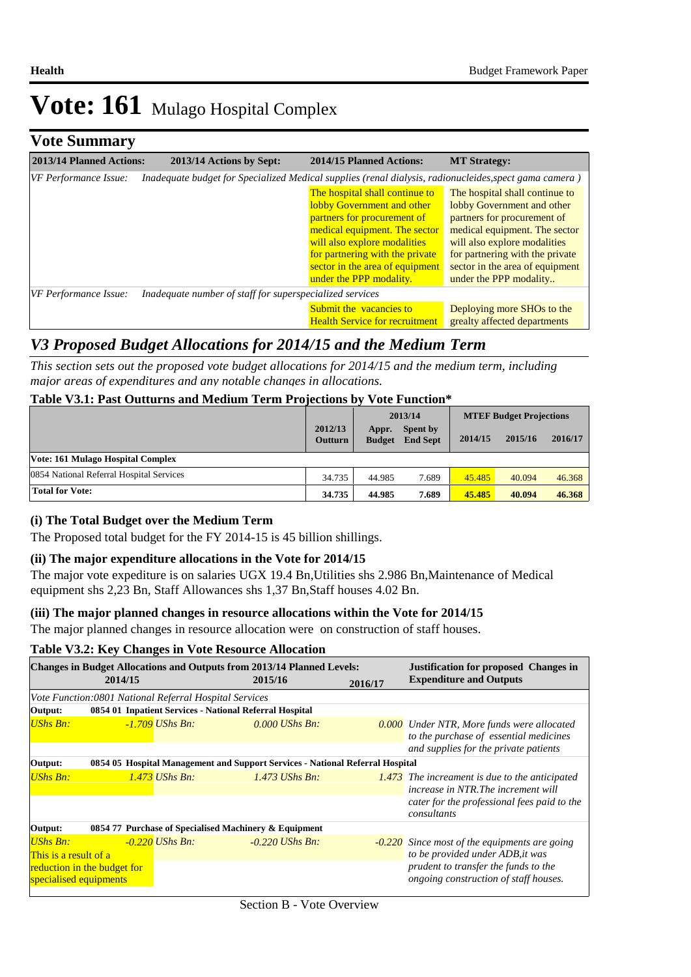# **Vote Summary**

| 2013/14 Planned Actions: | 2013/14 Actions by Sept:                                                                               | 2014/15 Planned Actions:                                                                                                                                                                                                           | <b>MT Strategy:</b>                                                                                                                                                                                                                |
|--------------------------|--------------------------------------------------------------------------------------------------------|------------------------------------------------------------------------------------------------------------------------------------------------------------------------------------------------------------------------------------|------------------------------------------------------------------------------------------------------------------------------------------------------------------------------------------------------------------------------------|
| VF Performance Issue:    | Inadequate budget for Specialized Medical supplies (renal dialysis, radionucleides, spect gama camera) |                                                                                                                                                                                                                                    |                                                                                                                                                                                                                                    |
|                          |                                                                                                        | The hospital shall continue to<br>lobby Government and other<br>partners for procurement of<br>medical equipment. The sector<br>will also explore modalities<br>for partnering with the private<br>sector in the area of equipment | The hospital shall continue to<br>lobby Government and other<br>partners for procurement of<br>medical equipment. The sector<br>will also explore modalities<br>for partnering with the private<br>sector in the area of equipment |
|                          |                                                                                                        | under the PPP modality.                                                                                                                                                                                                            | under the PPP modality                                                                                                                                                                                                             |
| VF Performance Issue:    | Inadequate number of staff for superspecialized services                                               |                                                                                                                                                                                                                                    |                                                                                                                                                                                                                                    |
|                          |                                                                                                        | Submit the vacancies to<br><b>Health Service for recruitment</b>                                                                                                                                                                   | Deploying more SHOs to the<br>grealty affected departments                                                                                                                                                                         |

## *V3 Proposed Budget Allocations for 2014/15 and the Medium Term*

*This section sets out the proposed vote budget allocations for 2014/15 and the medium term, including major areas of expenditures and any notable changes in allocations.* 

#### **Table V3.1: Past Outturns and Medium Term Projections by Vote Function\***

|                                          |                           | 2013/14                |                             | <b>MTEF Budget Projections</b> |         |         |
|------------------------------------------|---------------------------|------------------------|-----------------------------|--------------------------------|---------|---------|
|                                          | 2012/13<br><b>Outturn</b> | Appr.<br><b>Budget</b> | Spent by<br><b>End Sept</b> | 2014/15                        | 2015/16 | 2016/17 |
| Vote: 161 Mulago Hospital Complex        |                           |                        |                             |                                |         |         |
| 0854 National Referral Hospital Services | 34.735                    | 44.985                 | 7.689                       | 45.485                         | 40.094  | 46.368  |
| <b>Total for Vote:</b>                   | 34.735                    | 44.985                 | 7.689                       | 45.485                         | 40.094  | 46.368  |

#### **(i) The Total Budget over the Medium Term**

The Proposed total budget for the FY 2014-15 is 45 billion shillings.

#### **(ii) The major expenditure allocations in the Vote for 2014/15**

The major vote expediture is on salaries UGX 19.4 Bn,Utilities shs 2.986 Bn,Maintenance of Medical equipment shs 2,23 Bn, Staff Allowances shs 1,37 Bn,Staff houses 4.02 Bn.

#### **(iii) The major planned changes in resource allocations within the Vote for 2014/15**

The major planned changes in resource allocation were on construction of staff houses.

#### **Table V3.2: Key Changes in Vote Resource Allocation**

| <b>Changes in Budget Allocations and Outputs from 2013/14 Planned Levels:</b>  |                                                                               |                                                         |  |                   |                                                                               | <b>Justification for proposed Changes in</b>                                                |  |  |
|--------------------------------------------------------------------------------|-------------------------------------------------------------------------------|---------------------------------------------------------|--|-------------------|-------------------------------------------------------------------------------|---------------------------------------------------------------------------------------------|--|--|
| 2014/15                                                                        |                                                                               | 2015/16                                                 |  | 2016/17           | <b>Expenditure and Outputs</b>                                                |                                                                                             |  |  |
|                                                                                |                                                                               | Vote Function: 0801 National Referral Hospital Services |  |                   |                                                                               |                                                                                             |  |  |
| Output:                                                                        |                                                                               | 0854 01 Inpatient Services - National Referral Hospital |  |                   |                                                                               |                                                                                             |  |  |
| <b>UShs Bn:</b>                                                                |                                                                               | <u>-1.709</u> UShs Bn:                                  |  | $0.000$ UShs Bn:  |                                                                               | <b>0.000</b> Under NTR, More funds were allocated<br>to the purchase of essential medicines |  |  |
|                                                                                |                                                                               |                                                         |  |                   |                                                                               | and supplies for the private patients                                                       |  |  |
| Output:                                                                        | 0854 05 Hospital Management and Support Services - National Referral Hospital |                                                         |  |                   |                                                                               |                                                                                             |  |  |
| $UShs Bn:$                                                                     |                                                                               | $1.473$ UShs Bn:                                        |  | $1.473$ UShs Bn:  |                                                                               | 1.473 The increament is due to the anticipated<br>increase in NTR. The increment will       |  |  |
|                                                                                |                                                                               |                                                         |  |                   |                                                                               | cater for the professional fees paid to the<br>consultants                                  |  |  |
| Output:                                                                        |                                                                               | 0854 77 Purchase of Specialised Machinery & Equipment   |  |                   |                                                                               |                                                                                             |  |  |
| <b>UShs Bn:</b>                                                                |                                                                               | $-0.220$ UShs Bn:                                       |  | $-0.220$ UShs Bn: |                                                                               | -0.220 Since most of the equipments are going                                               |  |  |
| This is a result of a<br>reduction in the budget for<br>specialised equipments |                                                                               |                                                         |  |                   |                                                                               | to be provided under ADB, it was                                                            |  |  |
|                                                                                |                                                                               |                                                         |  |                   | prudent to transfer the funds to the<br>ongoing construction of staff houses. |                                                                                             |  |  |
|                                                                                |                                                                               |                                                         |  |                   |                                                                               |                                                                                             |  |  |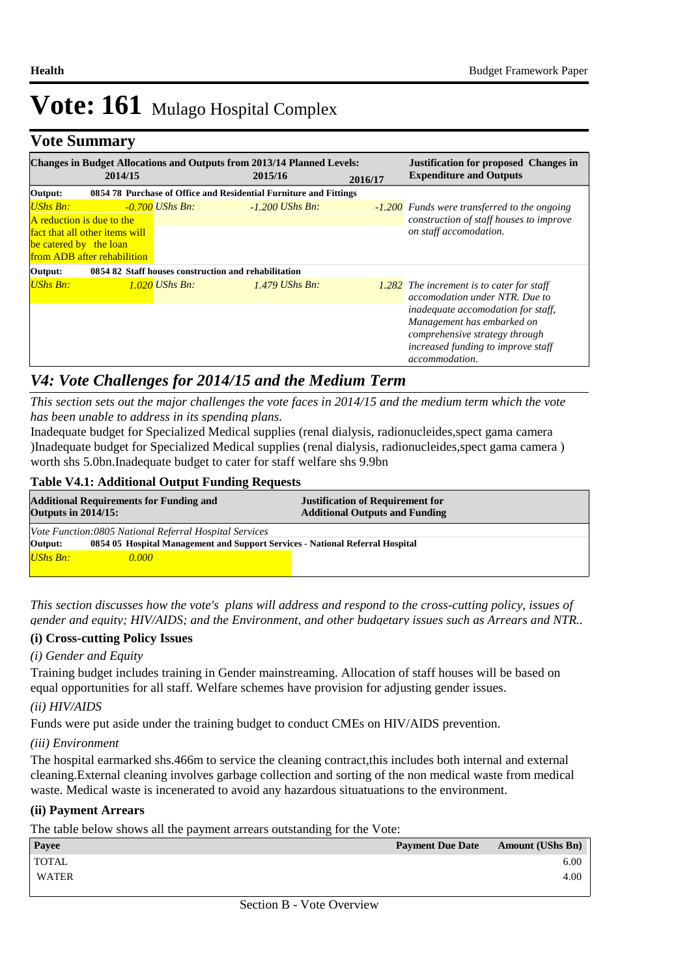### **Vote Summary**

| <b>Changes in Budget Allocations and Outputs from 2013/14 Planned Levels:</b><br><b>Justification for proposed Changes in</b> |                                                               |                                                                   |         |                   |         |                                                                                                                                                        |
|-------------------------------------------------------------------------------------------------------------------------------|---------------------------------------------------------------|-------------------------------------------------------------------|---------|-------------------|---------|--------------------------------------------------------------------------------------------------------------------------------------------------------|
|                                                                                                                               | 2014/15                                                       |                                                                   | 2015/16 |                   | 2016/17 | <b>Expenditure and Outputs</b>                                                                                                                         |
| Output:                                                                                                                       |                                                               | 0854 78 Purchase of Office and Residential Furniture and Fittings |         |                   |         |                                                                                                                                                        |
| <b>UShs Bn:</b><br>A reduction is due to the<br>be catered by the loan                                                        | fact that all other items will<br>from ADB after rehabilition | $-0.700$ UShs Bn:                                                 |         | $-1.200$ UShs Bn: |         | -1.200 Funds were transferred to the ongoing<br>construction of staff houses to improve<br>on staff accomodation.                                      |
| Output:                                                                                                                       |                                                               | 0854 82 Staff houses construction and rehabilitation              |         |                   |         |                                                                                                                                                        |
| <b>UShs Bn:</b>                                                                                                               |                                                               | $1.020$ UShs Bn:                                                  |         | $1.479$ UShs Bn:  |         | 1.282 The increment is to cater for staff<br>accomodation under NTR. Due to<br><i>inadequate accomodation for staff.</i><br>Management has embarked on |
|                                                                                                                               |                                                               |                                                                   |         |                   |         | comprehensive strategy through<br>increased funding to improve staff<br>accommodation.                                                                 |

### *V4: Vote Challenges for 2014/15 and the Medium Term*

*This section sets out the major challenges the vote faces in 2014/15 and the medium term which the vote has been unable to address in its spending plans.*

Inadequate budget for Specialized Medical supplies (renal dialysis, radionucleides,spect gama camera )Inadequate budget for Specialized Medical supplies (renal dialysis, radionucleides,spect gama camera ) worth shs 5.0bn.Inadequate budget to cater for staff welfare shs 9.9bn

#### **Table V4.1: Additional Output Funding Requests**

| <b>Additional Requirements for Funding and</b><br><b>Outputs in 2014/15:</b>             |       | <b>Justification of Requirement for</b><br><b>Additional Outputs and Funding</b> |  |  |  |
|------------------------------------------------------------------------------------------|-------|----------------------------------------------------------------------------------|--|--|--|
| Vote Function:0805 National Referral Hospital Services                                   |       |                                                                                  |  |  |  |
| Output:<br>0854 05 Hospital Management and Support Services - National Referral Hospital |       |                                                                                  |  |  |  |
| <b>UShs Bn:</b>                                                                          | 0.000 |                                                                                  |  |  |  |

*This section discusses how the vote's plans will address and respond to the cross-cutting policy, issues of gender and equity; HIV/AIDS; and the Environment, and other budgetary issues such as Arrears and NTR..* 

#### **(i) Cross-cutting Policy Issues**

#### *(i) Gender and Equity*

Training budget includes training in Gender mainstreaming. Allocation of staff houses will be based on equal opportunities for all staff. Welfare schemes have provision for adjusting gender issues.

#### *(ii) HIV/AIDS*

Funds were put aside under the training budget to conduct CMEs on HIV/AIDS prevention.

#### *(iii) Environment*

The hospital earmarked shs.466m to service the cleaning contract,this includes both internal and external cleaning.External cleaning involves garbage collection and sorting of the non medical waste from medical waste. Medical waste is incenerated to avoid any hazardous situatuations to the environment.

#### **(ii) Payment Arrears**

The table below shows all the payment arrears outstanding for the Vote:

| Payee        |  | <b>Payment Due Date</b> | <b>Amount (UShs Bn)</b> |
|--------------|--|-------------------------|-------------------------|
| <b>TOTAL</b> |  |                         | 6.00                    |
| <b>WATER</b> |  |                         | 4.00                    |
|              |  |                         |                         |